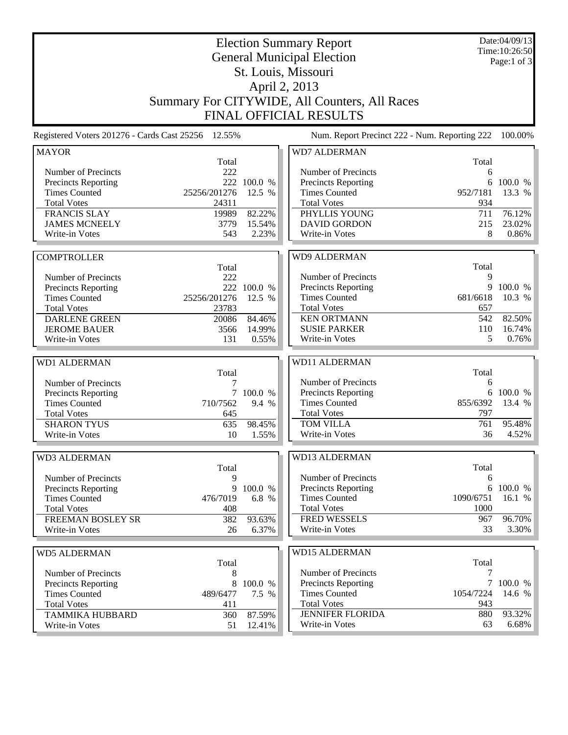| <b>Election Summary Report</b><br><b>General Municipal Election</b><br>St. Louis, Missouri<br>April 2, 2013                                                               |                                                               |                                                    |                                                                                                                                                                                  |                                                       | Date:04/09/13<br>Time: 10:26:50<br>Page:1 of 3    |  |  |  |
|---------------------------------------------------------------------------------------------------------------------------------------------------------------------------|---------------------------------------------------------------|----------------------------------------------------|----------------------------------------------------------------------------------------------------------------------------------------------------------------------------------|-------------------------------------------------------|---------------------------------------------------|--|--|--|
|                                                                                                                                                                           |                                                               |                                                    |                                                                                                                                                                                  |                                                       |                                                   |  |  |  |
| <b>FINAL OFFICIAL RESULTS</b><br>Num. Report Precinct 222 - Num. Reporting 222<br>Registered Voters 201276 - Cards Cast 25256 12.55%<br>100.00%                           |                                                               |                                                    |                                                                                                                                                                                  |                                                       |                                                   |  |  |  |
|                                                                                                                                                                           |                                                               |                                                    |                                                                                                                                                                                  |                                                       |                                                   |  |  |  |
| <b>MAYOR</b><br>Number of Precincts<br>Precincts Reporting<br><b>Times Counted</b><br><b>Total Votes</b><br><b>FRANCIS SLAY</b><br><b>JAMES MCNEELY</b><br>Write-in Votes | Total<br>222<br>25256/201276<br>24311<br>19989<br>3779<br>543 | 222 100.0 %<br>12.5 %<br>82.22%<br>15.54%<br>2.23% | <b>WD7 ALDERMAN</b><br>Number of Precincts<br><b>Precincts Reporting</b><br><b>Times Counted</b><br><b>Total Votes</b><br>PHYLLIS YOUNG<br><b>DAVID GORDON</b><br>Write-in Votes | Total<br>6<br>6<br>952/7181<br>934<br>711<br>215<br>8 | 100.0 %<br>13.3 %<br>76.12%<br>23.02%<br>$0.86\%$ |  |  |  |
|                                                                                                                                                                           |                                                               |                                                    |                                                                                                                                                                                  |                                                       |                                                   |  |  |  |
| <b>COMPTROLLER</b><br>Number of Precincts<br>Precincts Reporting<br><b>Times Counted</b><br><b>Total Votes</b>                                                            | Total<br>222<br>25256/201276<br>23783                         | 222 100.0 %<br>12.5 %                              | <b>WD9 ALDERMAN</b><br>Number of Precincts<br>Precincts Reporting<br><b>Times Counted</b><br><b>Total Votes</b>                                                                  | Total<br>9<br>9<br>681/6618<br>657<br>542             | 100.0 %<br>10.3 %                                 |  |  |  |
| <b>DARLENE GREEN</b><br><b>JEROME BAUER</b><br>Write-in Votes                                                                                                             | 20086<br>3566<br>131                                          | 84.46%<br>14.99%<br>0.55%                          | <b>KEN ORTMANN</b><br><b>SUSIE PARKER</b><br>Write-in Votes                                                                                                                      | 110<br>5                                              | 82.50%<br>$16.74\%$<br>0.76%                      |  |  |  |
|                                                                                                                                                                           |                                                               |                                                    |                                                                                                                                                                                  |                                                       |                                                   |  |  |  |
| <b>WD1 ALDERMAN</b><br>Number of Precincts<br><b>Precincts Reporting</b><br><b>Times Counted</b><br><b>Total Votes</b><br><b>SHARON TYUS</b>                              | Total<br>7<br>7<br>710/7562<br>645<br>635                     | 100.0 %<br>9.4 %<br>98.45%                         | <b>WD11 ALDERMAN</b><br>Number of Precincts<br>Precincts Reporting<br><b>Times Counted</b><br><b>Total Votes</b><br><b>TOM VILLA</b>                                             | Total<br>6<br>855/6392<br>797<br>761                  | 6 100.0 %<br>13.4 %<br>95.48%                     |  |  |  |
| Write-in Votes                                                                                                                                                            | 10                                                            | 1.55%                                              | Write-in Votes                                                                                                                                                                   | 36                                                    | 4.52%                                             |  |  |  |
| WD3 ALDERMAN<br>Number of Precincts<br><b>Precincts Reporting</b><br><b>Times Counted</b><br><b>Total Votes</b>                                                           | Total<br>9<br>9<br>476/7019<br>408                            | 100.0 %<br>6.8 %                                   | WD13 ALDERMAN<br>Number of Precincts<br><b>Precincts Reporting</b><br><b>Times Counted</b><br><b>Total Votes</b>                                                                 | Total<br>6<br>6<br>1090/6751<br>1000                  | 100.0 %<br>16.1 %                                 |  |  |  |
| FREEMAN BOSLEY SR                                                                                                                                                         | 382                                                           | 93.63%                                             | FRED WESSELS                                                                                                                                                                     | 967                                                   | 96.70%                                            |  |  |  |
| Write-in Votes                                                                                                                                                            | 26                                                            | 6.37%                                              | Write-in Votes                                                                                                                                                                   | 33                                                    | 3.30%                                             |  |  |  |
| <b>WD5 ALDERMAN</b>                                                                                                                                                       | Total                                                         |                                                    | <b>WD15 ALDERMAN</b>                                                                                                                                                             | Total                                                 |                                                   |  |  |  |
| Number of Precincts<br>Precincts Reporting<br><b>Times Counted</b><br><b>Total Votes</b><br><b>TAMMIKA HUBBARD</b>                                                        | 8<br>8<br>489/6477<br>411<br>360                              | 100.0 %<br>7.5 %<br>87.59%                         | Number of Precincts<br>Precincts Reporting<br><b>Times Counted</b><br><b>Total Votes</b><br><b>JENNIFER FLORIDA</b>                                                              | 7<br>7<br>1054/7224<br>943<br>880                     | 100.0 %<br>14.6 %<br>93.32%                       |  |  |  |
| Write-in Votes                                                                                                                                                            | 51                                                            | 12.41%                                             | Write-in Votes                                                                                                                                                                   | 63                                                    | 6.68%                                             |  |  |  |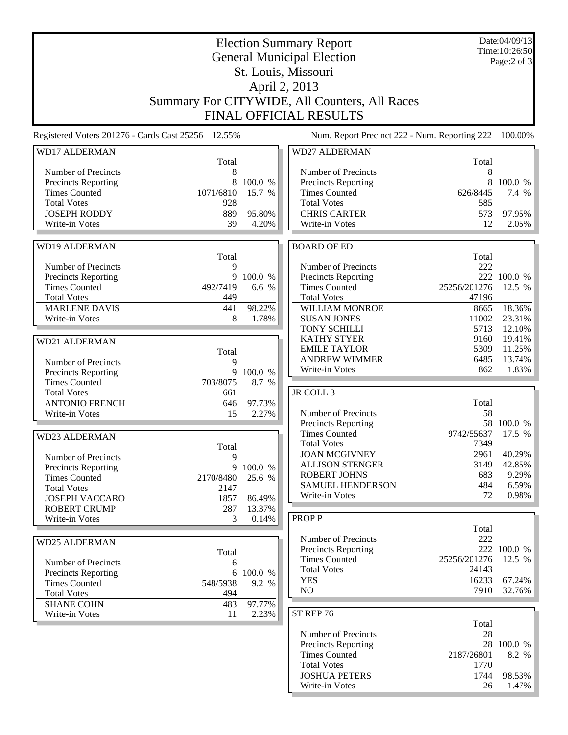|                                              |                                                    | Date:04/09/13<br>Time: 10:26:50 |                                                    |               |                     |
|----------------------------------------------|----------------------------------------------------|---------------------------------|----------------------------------------------------|---------------|---------------------|
|                                              |                                                    | Page:2 of 3                     |                                                    |               |                     |
|                                              |                                                    |                                 |                                                    |               |                     |
|                                              |                                                    |                                 | April 2, 2013                                      |               |                     |
|                                              |                                                    |                                 | Summary For CITYWIDE, All Counters, All Races      |               |                     |
|                                              |                                                    |                                 | <b>FINAL OFFICIAL RESULTS</b>                      |               |                     |
|                                              |                                                    |                                 |                                                    |               |                     |
|                                              | Registered Voters 201276 - Cards Cast 25256 12.55% |                                 | Num. Report Precinct 222 - Num. Reporting 222      |               | 100.00%             |
| <b>WD17 ALDERMAN</b>                         |                                                    |                                 | <b>WD27 ALDERMAN</b>                               |               |                     |
|                                              | Total                                              |                                 |                                                    | Total         |                     |
| Number of Precincts<br>Precincts Reporting   | 8<br>8                                             | 100.0 %                         | Number of Precincts<br><b>Precincts Reporting</b>  | 8<br>8        | 100.0 %             |
| <b>Times Counted</b>                         | 1071/6810                                          | 15.7 %                          | <b>Times Counted</b>                               | 626/8445      | 7.4 %               |
| <b>Total Votes</b>                           | 928                                                |                                 | <b>Total Votes</b>                                 | 585           |                     |
| <b>JOSEPH RODDY</b>                          | 889                                                | 95.80%                          | <b>CHRIS CARTER</b>                                | 573           | 97.95%              |
| Write-in Votes                               | 39                                                 | 4.20%                           | Write-in Votes                                     | 12            | 2.05%               |
|                                              |                                                    |                                 |                                                    |               |                     |
| <b>WD19 ALDERMAN</b>                         |                                                    |                                 | <b>BOARD OF ED</b>                                 |               |                     |
|                                              | Total                                              |                                 |                                                    | Total         |                     |
| Number of Precincts                          | 9                                                  |                                 | Number of Precincts                                | 222           |                     |
| <b>Precincts Reporting</b>                   | 9                                                  | 100.0 %                         | <b>Precincts Reporting</b>                         |               | 222 100.0 %         |
| <b>Times Counted</b>                         | 492/7419                                           | 6.6 %                           | <b>Times Counted</b>                               | 25256/201276  | 12.5 %              |
| <b>Total Votes</b>                           | 449                                                |                                 | <b>Total Votes</b>                                 | 47196         |                     |
| <b>MARLENE DAVIS</b><br>Write-in Votes       | 441<br>8                                           | 98.22%<br>1.78%                 | WILLIAM MONROE<br><b>SUSAN JONES</b>               | 8665<br>11002 | 18.36%<br>23.31%    |
|                                              |                                                    |                                 | <b>TONY SCHILLI</b>                                | 5713          | 12.10%              |
|                                              |                                                    |                                 | <b>KATHY STYER</b>                                 | 9160          | 19.41%              |
| WD21 ALDERMAN                                | Total                                              |                                 | <b>EMILE TAYLOR</b>                                | 5309          | 11.25%              |
| Number of Precincts                          | 9                                                  |                                 | <b>ANDREW WIMMER</b>                               | 6485          | 13.74%              |
| Precincts Reporting                          | 9                                                  | 100.0 %                         | Write-in Votes                                     | 862           | 1.83%               |
| <b>Times Counted</b>                         | 703/8075                                           | 8.7 %                           |                                                    |               |                     |
| <b>Total Votes</b>                           | 661                                                |                                 | JR COLL 3                                          |               |                     |
| <b>ANTONIO FRENCH</b>                        | 646                                                | 97.73%                          |                                                    | Total         |                     |
| Write-in Votes                               | 15                                                 | 2.27%                           | Number of Precincts                                | 58            |                     |
|                                              |                                                    |                                 | Precincts Reporting                                | 58            | 100.0 %             |
| <b>WD23 ALDERMAN</b>                         |                                                    |                                 | <b>Times Counted</b>                               | 9742/55637    | 17.5 %              |
|                                              | Total                                              |                                 | <b>Total Votes</b>                                 | 7349          |                     |
| Number of Precincts                          | 9                                                  |                                 | <b>JOAN MCGIVNEY</b><br><b>ALLISON STENGER</b>     | 2961          | 40.29%              |
| Precincts Reporting                          | 9                                                  | 100.0 %                         | <b>ROBERT JOHNS</b>                                | 3149<br>683   | 42.85%<br>9.29%     |
| <b>Times Counted</b>                         | 2170/8480                                          | 25.6 %                          | <b>SAMUEL HENDERSON</b>                            | 484           | 6.59%               |
| <b>Total Votes</b>                           | 2147                                               |                                 | Write-in Votes                                     | 72            | 0.98%               |
| <b>JOSEPH VACCARO</b><br><b>ROBERT CRUMP</b> | 1857<br>287                                        | 86.49%<br>13.37%                |                                                    |               |                     |
| Write-in Votes                               | 3                                                  | 0.14%                           | <b>PROPP</b>                                       |               |                     |
|                                              |                                                    |                                 |                                                    | Total         |                     |
| <b>WD25 ALDERMAN</b>                         |                                                    |                                 | Number of Precincts                                | 222           |                     |
|                                              | Total                                              |                                 | <b>Precincts Reporting</b>                         |               | 222 100.0 %         |
| Number of Precincts                          | 6                                                  |                                 | <b>Times Counted</b>                               | 25256/201276  | 12.5 %              |
| Precincts Reporting                          | 6                                                  | 100.0 %                         | <b>Total Votes</b>                                 | 24143         |                     |
| <b>Times Counted</b>                         | 548/5938                                           | 9.2 %                           | <b>YES</b>                                         | 16233         | 67.24%              |
| <b>Total Votes</b>                           | 494                                                |                                 | NO                                                 | 7910          | 32.76%              |
| <b>SHANE COHN</b>                            | 483                                                | 97.77%                          |                                                    |               |                     |
| Write-in Votes                               | 11                                                 | 2.23%                           | ST REP 76                                          |               |                     |
|                                              |                                                    |                                 |                                                    | Total         |                     |
|                                              |                                                    |                                 | Number of Precincts                                | 28            |                     |
|                                              |                                                    |                                 | <b>Precincts Reporting</b><br><b>Times Counted</b> | 2187/26801    | 28 100.0 %<br>8.2 % |
|                                              |                                                    |                                 | <b>Total Votes</b>                                 | 1770          |                     |
|                                              |                                                    |                                 | <b>JOSHUA PETERS</b>                               | 1744          | 98.53%              |
|                                              |                                                    |                                 | Write-in Votes                                     | 26            | 1.47%               |